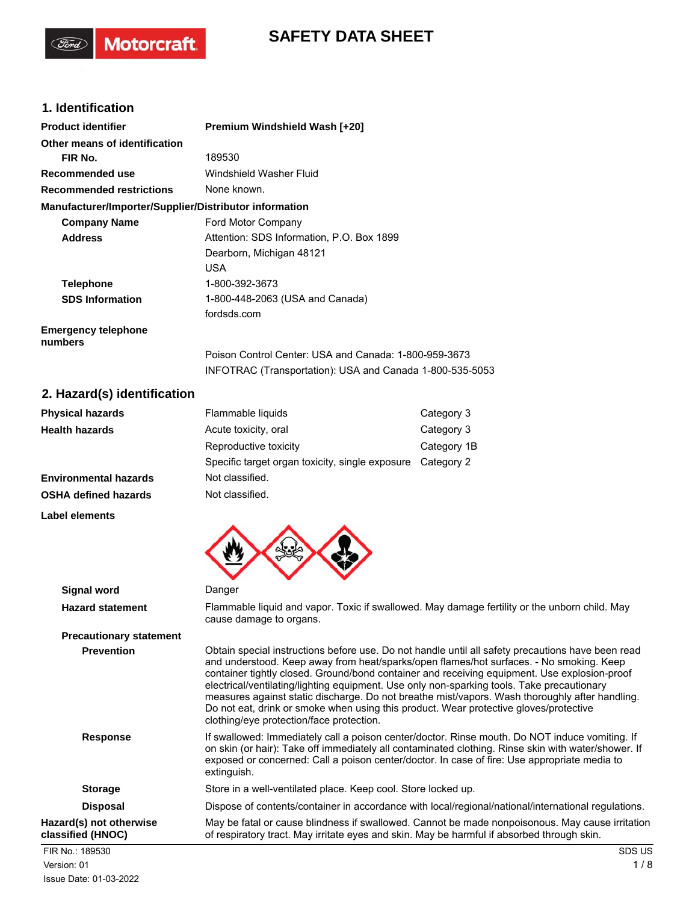# **SAFETY DATA SHEET**

## **1. Identification**

**Motorcraft** 

| <b>Product identifier</b>                              | <b>Premium Windshield Wash [+20]</b>                                                                              |  |
|--------------------------------------------------------|-------------------------------------------------------------------------------------------------------------------|--|
| Other means of identification                          |                                                                                                                   |  |
| FIR No.                                                | 189530                                                                                                            |  |
| Recommended use                                        | Windshield Washer Fluid                                                                                           |  |
| <b>Recommended restrictions</b>                        | None known.                                                                                                       |  |
| Manufacturer/Importer/Supplier/Distributor information |                                                                                                                   |  |
| <b>Company Name</b>                                    | Ford Motor Company                                                                                                |  |
| <b>Address</b>                                         | Attention: SDS Information, P.O. Box 1899                                                                         |  |
|                                                        | Dearborn, Michigan 48121                                                                                          |  |
|                                                        | USA.                                                                                                              |  |
| <b>Telephone</b>                                       | 1-800-392-3673                                                                                                    |  |
| <b>SDS Information</b>                                 | 1-800-448-2063 (USA and Canada)                                                                                   |  |
|                                                        | fordsds.com                                                                                                       |  |
| <b>Emergency telephone</b><br>numbers                  |                                                                                                                   |  |
|                                                        | Poison Control Center: USA and Canada: 1-800-959-3673<br>INFOTRAC (Transportation): USA and Canada 1-800-535-5053 |  |

### **2. Hazard(s) identification**

| <b>Physical hazards</b>      | Flammable liquids                               | Category 3  |
|------------------------------|-------------------------------------------------|-------------|
| <b>Health hazards</b>        | Acute toxicity, oral                            | Category 3  |
|                              | Reproductive toxicity                           | Category 1B |
|                              | Specific target organ toxicity, single exposure | Category 2  |
| <b>Environmental hazards</b> | Not classified.                                 |             |
| <b>OSHA defined hazards</b>  | Not classified.                                 |             |
|                              |                                                 |             |

**Label elements**

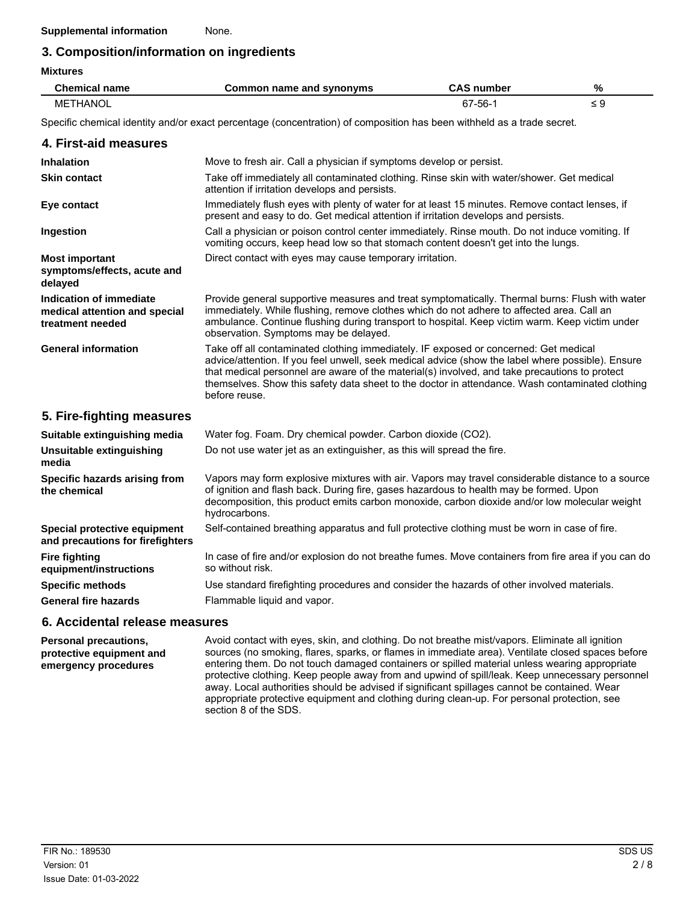# **3. Composition/information on ingredients**

| <b>Mixtures</b>                                                              |                                                                                                                                                                                                                                                                                                                                                                                                                |                   |          |
|------------------------------------------------------------------------------|----------------------------------------------------------------------------------------------------------------------------------------------------------------------------------------------------------------------------------------------------------------------------------------------------------------------------------------------------------------------------------------------------------------|-------------------|----------|
| <b>Chemical name</b>                                                         | Common name and synonyms                                                                                                                                                                                                                                                                                                                                                                                       | <b>CAS number</b> | %        |
| <b>METHANOL</b>                                                              |                                                                                                                                                                                                                                                                                                                                                                                                                | 67-56-1           | $\leq 9$ |
|                                                                              | Specific chemical identity and/or exact percentage (concentration) of composition has been withheld as a trade secret.                                                                                                                                                                                                                                                                                         |                   |          |
| 4. First-aid measures                                                        |                                                                                                                                                                                                                                                                                                                                                                                                                |                   |          |
| <b>Inhalation</b>                                                            | Move to fresh air. Call a physician if symptoms develop or persist.                                                                                                                                                                                                                                                                                                                                            |                   |          |
| <b>Skin contact</b>                                                          | Take off immediately all contaminated clothing. Rinse skin with water/shower. Get medical<br>attention if irritation develops and persists.                                                                                                                                                                                                                                                                    |                   |          |
| Eye contact                                                                  | Immediately flush eyes with plenty of water for at least 15 minutes. Remove contact lenses, if<br>present and easy to do. Get medical attention if irritation develops and persists.                                                                                                                                                                                                                           |                   |          |
| Ingestion                                                                    | Call a physician or poison control center immediately. Rinse mouth. Do not induce vomiting. If<br>vomiting occurs, keep head low so that stomach content doesn't get into the lungs.                                                                                                                                                                                                                           |                   |          |
| <b>Most important</b><br>symptoms/effects, acute and<br>delayed              | Direct contact with eyes may cause temporary irritation.                                                                                                                                                                                                                                                                                                                                                       |                   |          |
| Indication of immediate<br>medical attention and special<br>treatment needed | Provide general supportive measures and treat symptomatically. Thermal burns: Flush with water<br>immediately. While flushing, remove clothes which do not adhere to affected area. Call an<br>ambulance. Continue flushing during transport to hospital. Keep victim warm. Keep victim under<br>observation. Symptoms may be delayed.                                                                         |                   |          |
| <b>General information</b>                                                   | Take off all contaminated clothing immediately. IF exposed or concerned: Get medical<br>advice/attention. If you feel unwell, seek medical advice (show the label where possible). Ensure<br>that medical personnel are aware of the material(s) involved, and take precautions to protect<br>themselves. Show this safety data sheet to the doctor in attendance. Wash contaminated clothing<br>before reuse. |                   |          |
| 5. Fire-fighting measures                                                    |                                                                                                                                                                                                                                                                                                                                                                                                                |                   |          |
| Suitable extinguishing media                                                 | Water fog. Foam. Dry chemical powder. Carbon dioxide (CO2).                                                                                                                                                                                                                                                                                                                                                    |                   |          |
| <b>Unsuitable extinguishing</b><br>media                                     | Do not use water jet as an extinguisher, as this will spread the fire.                                                                                                                                                                                                                                                                                                                                         |                   |          |
| Specific hazards arising from<br>the chemical                                | Vapors may form explosive mixtures with air. Vapors may travel considerable distance to a source<br>of ignition and flash back. During fire, gases hazardous to health may be formed. Upon<br>decomposition, this product emits carbon monoxide, carbon dioxide and/or low molecular weight<br>hydrocarbons.                                                                                                   |                   |          |
| Special protective equipment<br>and precautions for firefighters             | Self-contained breathing apparatus and full protective clothing must be worn in case of fire.                                                                                                                                                                                                                                                                                                                  |                   |          |
| <b>Fire fighting</b><br>equipment/instructions                               | In case of fire and/or explosion do not breathe fumes. Move containers from fire area if you can do<br>so without risk.                                                                                                                                                                                                                                                                                        |                   |          |

**Specific methods** Use standard firefighting procedures and consider the hazards of other involved materials.

**General fire hazards** Flammable liquid and vapor.

#### **6. Accidental release measures**

**Personal precautions, protective equipment and emergency procedures**

Avoid contact with eyes, skin, and clothing. Do not breathe mist/vapors. Eliminate all ignition sources (no smoking, flares, sparks, or flames in immediate area). Ventilate closed spaces before entering them. Do not touch damaged containers or spilled material unless wearing appropriate protective clothing. Keep people away from and upwind of spill/leak. Keep unnecessary personnel away. Local authorities should be advised if significant spillages cannot be contained. Wear appropriate protective equipment and clothing during clean-up. For personal protection, see section 8 of the SDS.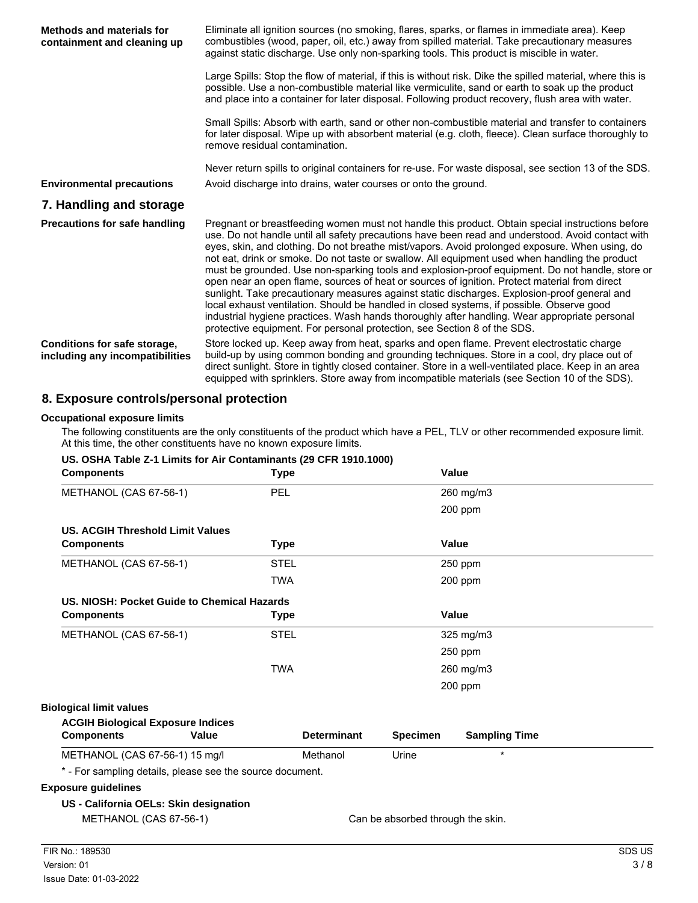| <b>Methods and materials for</b><br>containment and cleaning up | Eliminate all ignition sources (no smoking, flares, sparks, or flames in immediate area). Keep<br>combustibles (wood, paper, oil, etc.) away from spilled material. Take precautionary measures<br>against static discharge. Use only non-sparking tools. This product is miscible in water.                                                                                                                                                                                                                                                                                                                                                                                                                                                                                                                                                                                                                                                                                            |
|-----------------------------------------------------------------|-----------------------------------------------------------------------------------------------------------------------------------------------------------------------------------------------------------------------------------------------------------------------------------------------------------------------------------------------------------------------------------------------------------------------------------------------------------------------------------------------------------------------------------------------------------------------------------------------------------------------------------------------------------------------------------------------------------------------------------------------------------------------------------------------------------------------------------------------------------------------------------------------------------------------------------------------------------------------------------------|
|                                                                 | Large Spills: Stop the flow of material, if this is without risk. Dike the spilled material, where this is<br>possible. Use a non-combustible material like vermiculite, sand or earth to soak up the product<br>and place into a container for later disposal. Following product recovery, flush area with water.                                                                                                                                                                                                                                                                                                                                                                                                                                                                                                                                                                                                                                                                      |
|                                                                 | Small Spills: Absorb with earth, sand or other non-combustible material and transfer to containers<br>for later disposal. Wipe up with absorbent material (e.g. cloth, fleece). Clean surface thoroughly to<br>remove residual contamination.                                                                                                                                                                                                                                                                                                                                                                                                                                                                                                                                                                                                                                                                                                                                           |
|                                                                 | Never return spills to original containers for re-use. For waste disposal, see section 13 of the SDS.                                                                                                                                                                                                                                                                                                                                                                                                                                                                                                                                                                                                                                                                                                                                                                                                                                                                                   |
| <b>Environmental precautions</b>                                | Avoid discharge into drains, water courses or onto the ground.                                                                                                                                                                                                                                                                                                                                                                                                                                                                                                                                                                                                                                                                                                                                                                                                                                                                                                                          |
| 7. Handling and storage                                         |                                                                                                                                                                                                                                                                                                                                                                                                                                                                                                                                                                                                                                                                                                                                                                                                                                                                                                                                                                                         |
| <b>Precautions for safe handling</b>                            | Pregnant or breastfeeding women must not handle this product. Obtain special instructions before<br>use. Do not handle until all safety precautions have been read and understood. Avoid contact with<br>eyes, skin, and clothing. Do not breathe mist/vapors. Avoid prolonged exposure. When using, do<br>not eat, drink or smoke. Do not taste or swallow. All equipment used when handling the product<br>must be grounded. Use non-sparking tools and explosion-proof equipment. Do not handle, store or<br>open near an open flame, sources of heat or sources of ignition. Protect material from direct<br>sunlight. Take precautionary measures against static discharges. Explosion-proof general and<br>local exhaust ventilation. Should be handled in closed systems, if possible. Observe good<br>industrial hygiene practices. Wash hands thoroughly after handling. Wear appropriate personal<br>protective equipment. For personal protection, see Section 8 of the SDS. |
| Conditions for safe storage,<br>including any incompatibilities | Store locked up. Keep away from heat, sparks and open flame. Prevent electrostatic charge<br>build-up by using common bonding and grounding techniques. Store in a cool, dry place out of<br>direct sunlight. Store in tightly closed container. Store in a well-ventilated place. Keep in an area<br>equipped with sprinklers. Store away from incompatible materials (see Section 10 of the SDS).                                                                                                                                                                                                                                                                                                                                                                                                                                                                                                                                                                                     |

## **8. Exposure controls/personal protection**

#### **Occupational exposure limits**

The following constituents are the only constituents of the product which have a PEL, TLV or other recommended exposure limit. At this time, the other constituents have no known exposure limits.

### **US. OSHA Table Z-1 Limits for Air Contaminants (29 CFR 1910.1000)**

| <b>Components</b>                                         | <b>Type</b> |                    |                                   | Value                |  |
|-----------------------------------------------------------|-------------|--------------------|-----------------------------------|----------------------|--|
| METHANOL (CAS 67-56-1)                                    | PEL         |                    |                                   | 260 mg/m3            |  |
|                                                           |             |                    |                                   | 200 ppm              |  |
| <b>US. ACGIH Threshold Limit Values</b>                   |             |                    |                                   |                      |  |
| <b>Components</b>                                         | Type        |                    |                                   | Value                |  |
| METHANOL (CAS 67-56-1)                                    | <b>STEL</b> |                    |                                   | 250 ppm              |  |
|                                                           | <b>TWA</b>  |                    |                                   | 200 ppm              |  |
| US. NIOSH: Pocket Guide to Chemical Hazards               |             |                    |                                   |                      |  |
| <b>Components</b>                                         | Type        |                    |                                   | Value                |  |
| METHANOL (CAS 67-56-1)                                    | <b>STEL</b> |                    |                                   | 325 mg/m3            |  |
|                                                           |             |                    |                                   | 250 ppm              |  |
|                                                           | <b>TWA</b>  |                    |                                   | 260 mg/m3            |  |
|                                                           |             |                    |                                   | 200 ppm              |  |
| <b>Biological limit values</b>                            |             |                    |                                   |                      |  |
| <b>ACGIH Biological Exposure Indices</b>                  |             |                    |                                   |                      |  |
| <b>Components</b>                                         | Value       | <b>Determinant</b> | <b>Specimen</b>                   | <b>Sampling Time</b> |  |
| METHANOL (CAS 67-56-1) 15 mg/l                            |             | Methanol           | Urine                             | $\star$              |  |
| * - For sampling details, please see the source document. |             |                    |                                   |                      |  |
| <b>Exposure guidelines</b>                                |             |                    |                                   |                      |  |
| US - California OELs: Skin designation                    |             |                    |                                   |                      |  |
| METHANOL (CAS 67-56-1)                                    |             |                    | Can be absorbed through the skin. |                      |  |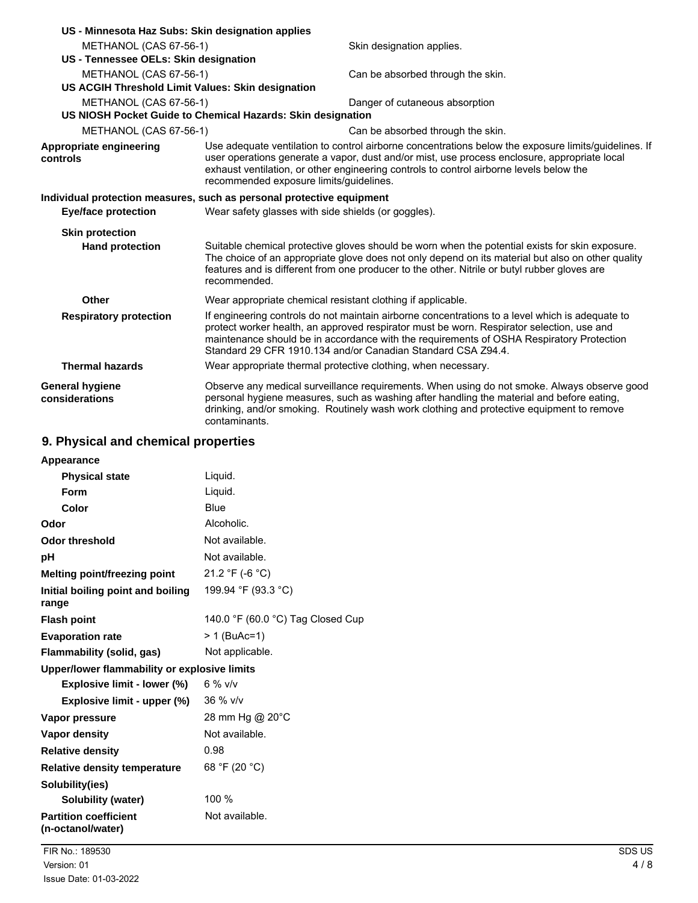| US - Minnesota Haz Subs: Skin designation applies                     |                                                                                                                                                                                                                                                                                                                                                          |                                                                                                                                                                                                                                                                                                                                            |  |
|-----------------------------------------------------------------------|----------------------------------------------------------------------------------------------------------------------------------------------------------------------------------------------------------------------------------------------------------------------------------------------------------------------------------------------------------|--------------------------------------------------------------------------------------------------------------------------------------------------------------------------------------------------------------------------------------------------------------------------------------------------------------------------------------------|--|
| METHANOL (CAS 67-56-1)                                                |                                                                                                                                                                                                                                                                                                                                                          | Skin designation applies.                                                                                                                                                                                                                                                                                                                  |  |
| US - Tennessee OELs: Skin designation                                 |                                                                                                                                                                                                                                                                                                                                                          |                                                                                                                                                                                                                                                                                                                                            |  |
| METHANOL (CAS 67-56-1)                                                |                                                                                                                                                                                                                                                                                                                                                          | Can be absorbed through the skin.                                                                                                                                                                                                                                                                                                          |  |
| US ACGIH Threshold Limit Values: Skin designation                     |                                                                                                                                                                                                                                                                                                                                                          |                                                                                                                                                                                                                                                                                                                                            |  |
| METHANOL (CAS 67-56-1)                                                |                                                                                                                                                                                                                                                                                                                                                          | Danger of cutaneous absorption                                                                                                                                                                                                                                                                                                             |  |
| US NIOSH Pocket Guide to Chemical Hazards: Skin designation           |                                                                                                                                                                                                                                                                                                                                                          |                                                                                                                                                                                                                                                                                                                                            |  |
| METHANOL (CAS 67-56-1)                                                |                                                                                                                                                                                                                                                                                                                                                          | Can be absorbed through the skin.                                                                                                                                                                                                                                                                                                          |  |
| Appropriate engineering<br>controls                                   |                                                                                                                                                                                                                                                                                                                                                          | Use adequate ventilation to control airborne concentrations below the exposure limits/quidelines. If<br>user operations generate a vapor, dust and/or mist, use process enclosure, appropriate local<br>exhaust ventilation, or other engineering controls to control airborne levels below the<br>recommended exposure limits/guidelines. |  |
| Individual protection measures, such as personal protective equipment |                                                                                                                                                                                                                                                                                                                                                          |                                                                                                                                                                                                                                                                                                                                            |  |
| <b>Eye/face protection</b>                                            |                                                                                                                                                                                                                                                                                                                                                          | Wear safety glasses with side shields (or goggles).                                                                                                                                                                                                                                                                                        |  |
| <b>Skin protection</b>                                                |                                                                                                                                                                                                                                                                                                                                                          |                                                                                                                                                                                                                                                                                                                                            |  |
| <b>Hand protection</b>                                                | recommended.                                                                                                                                                                                                                                                                                                                                             | Suitable chemical protective gloves should be worn when the potential exists for skin exposure.<br>The choice of an appropriate glove does not only depend on its material but also on other quality<br>features and is different from one producer to the other. Nitrile or butyl rubber gloves are                                       |  |
| Other                                                                 | Wear appropriate chemical resistant clothing if applicable.                                                                                                                                                                                                                                                                                              |                                                                                                                                                                                                                                                                                                                                            |  |
| <b>Respiratory protection</b>                                         | If engineering controls do not maintain airborne concentrations to a level which is adequate to<br>protect worker health, an approved respirator must be worn. Respirator selection, use and<br>maintenance should be in accordance with the requirements of OSHA Respiratory Protection<br>Standard 29 CFR 1910.134 and/or Canadian Standard CSA Z94.4. |                                                                                                                                                                                                                                                                                                                                            |  |
| <b>Thermal hazards</b>                                                |                                                                                                                                                                                                                                                                                                                                                          | Wear appropriate thermal protective clothing, when necessary.                                                                                                                                                                                                                                                                              |  |
| General hygiene<br>considerations                                     | contaminants.                                                                                                                                                                                                                                                                                                                                            | Observe any medical surveillance requirements. When using do not smoke. Always observe good<br>personal hygiene measures, such as washing after handling the material and before eating,<br>drinking, and/or smoking. Routinely wash work clothing and protective equipment to remove                                                      |  |

# **9. Physical and chemical properties**

| Appearance                                        |                                   |
|---------------------------------------------------|-----------------------------------|
| <b>Physical state</b>                             | Liquid.                           |
| Form                                              | Liquid.                           |
| Color                                             | Blue                              |
| Odor                                              | Alcoholic.                        |
| Odor threshold                                    | Not available.                    |
| рH                                                | Not available.                    |
| Melting point/freezing point                      | 21.2 °F (-6 °C)                   |
| Initial boiling point and boiling<br>range        | 199.94 °F (93.3 °C)               |
| <b>Flash point</b>                                | 140.0 °F (60.0 °C) Tag Closed Cup |
| <b>Evaporation rate</b>                           | > 1 (BuAc=1)                      |
| Flammability (solid, gas)                         | Not applicable.                   |
| Upper/lower flammability or explosive limits      |                                   |
| Explosive limit - lower (%)                       | $6\%$ v/v                         |
| Explosive limit - upper (%)                       | 36 % v/v                          |
| Vapor pressure                                    | 28 mm Hg @ 20°C                   |
| Vapor density                                     | Not available.                    |
| <b>Relative density</b>                           | 0.98                              |
| <b>Relative density temperature</b>               | 68 °F (20 °C)                     |
| Solubility(ies)                                   |                                   |
| Solubility (water)                                | 100 %                             |
| <b>Partition coefficient</b><br>(n-octanol/water) | Not available.                    |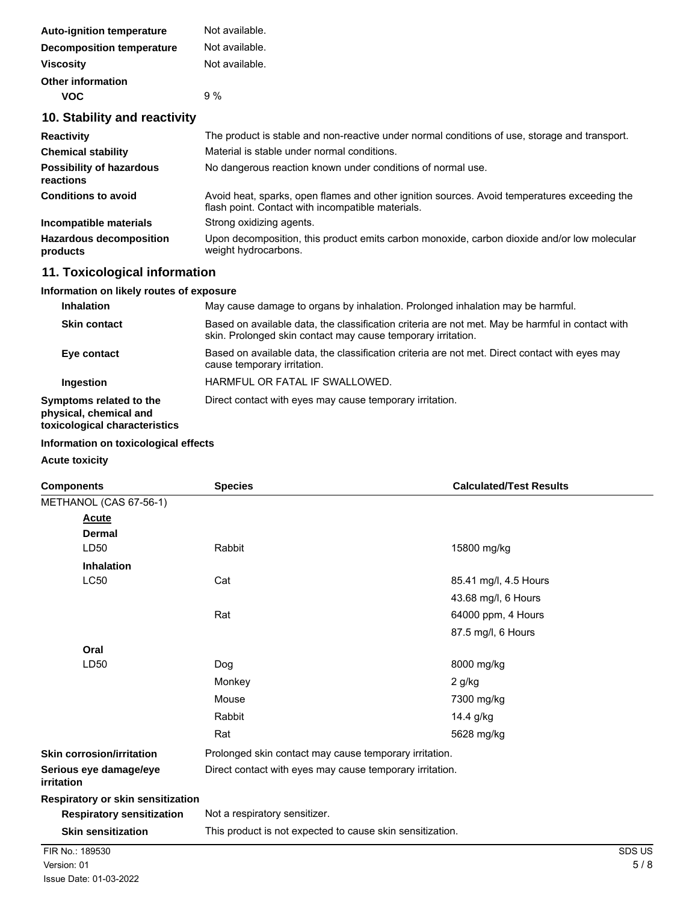| <b>Auto-ignition temperature</b> | Not available. |
|----------------------------------|----------------|
| <b>Decomposition temperature</b> | Not available. |
| <b>Viscosity</b>                 | Not available. |
| <b>Other information</b>         |                |
| voc                              | $9\%$          |

# **10. Stability and reactivity**

| <b>Reactivity</b>                            | The product is stable and non-reactive under normal conditions of use, storage and transport.                                                     |  |  |
|----------------------------------------------|---------------------------------------------------------------------------------------------------------------------------------------------------|--|--|
| <b>Chemical stability</b>                    | Material is stable under normal conditions.                                                                                                       |  |  |
| <b>Possibility of hazardous</b><br>reactions | No dangerous reaction known under conditions of normal use.                                                                                       |  |  |
| <b>Conditions to avoid</b>                   | Avoid heat, sparks, open flames and other ignition sources. Avoid temperatures exceeding the<br>flash point. Contact with incompatible materials. |  |  |
| Incompatible materials                       | Strong oxidizing agents.                                                                                                                          |  |  |
| <b>Hazardous decomposition</b><br>products   | Upon decomposition, this product emits carbon monoxide, carbon dioxide and/or low molecular<br>weight hydrocarbons.                               |  |  |

# **11. Toxicological information**

### **Information on likely routes of exposure**

| <b>Inhalation</b>                                                                  | May cause damage to organs by inhalation. Prolonged inhalation may be harmful.                                                                                   |  |
|------------------------------------------------------------------------------------|------------------------------------------------------------------------------------------------------------------------------------------------------------------|--|
| <b>Skin contact</b>                                                                | Based on available data, the classification criteria are not met. May be harmful in contact with<br>skin. Prolonged skin contact may cause temporary irritation. |  |
| Eye contact                                                                        | Based on available data, the classification criteria are not met. Direct contact with eyes may<br>cause temporary irritation.                                    |  |
| <b>Ingestion</b>                                                                   | HARMFUL OR FATAL IF SWALLOWED.                                                                                                                                   |  |
| Symptoms related to the<br>physical, chemical and<br>toxicological characteristics | Direct contact with eyes may cause temporary irritation.                                                                                                         |  |

## **Information on toxicological effects**

**Acute toxicity**

| <b>Components</b>                    | <b>Species</b>                                            | <b>Calculated/Test Results</b>                         |  |  |
|--------------------------------------|-----------------------------------------------------------|--------------------------------------------------------|--|--|
| METHANOL (CAS 67-56-1)               |                                                           |                                                        |  |  |
| Acute                                |                                                           |                                                        |  |  |
| <b>Dermal</b>                        |                                                           |                                                        |  |  |
| LD50                                 | Rabbit                                                    | 15800 mg/kg                                            |  |  |
| <b>Inhalation</b>                    |                                                           |                                                        |  |  |
| <b>LC50</b>                          | Cat                                                       | 85.41 mg/l, 4.5 Hours                                  |  |  |
|                                      |                                                           | 43.68 mg/l, 6 Hours                                    |  |  |
|                                      | Rat                                                       | 64000 ppm, 4 Hours                                     |  |  |
|                                      |                                                           | 87.5 mg/l, 6 Hours                                     |  |  |
| Oral                                 |                                                           |                                                        |  |  |
| LD50                                 | Dog                                                       | 8000 mg/kg                                             |  |  |
|                                      | Monkey                                                    | 2 g/kg                                                 |  |  |
|                                      | Mouse                                                     | 7300 mg/kg                                             |  |  |
|                                      | Rabbit                                                    | 14.4 g/kg                                              |  |  |
|                                      | Rat                                                       | 5628 mg/kg                                             |  |  |
| <b>Skin corrosion/irritation</b>     |                                                           | Prolonged skin contact may cause temporary irritation. |  |  |
| Serious eye damage/eye<br>irritation | Direct contact with eyes may cause temporary irritation.  |                                                        |  |  |
| Respiratory or skin sensitization    |                                                           |                                                        |  |  |
| <b>Respiratory sensitization</b>     | Not a respiratory sensitizer.                             |                                                        |  |  |
| <b>Skin sensitization</b>            | This product is not expected to cause skin sensitization. |                                                        |  |  |
| FIR No.: 189530                      |                                                           | SDS US                                                 |  |  |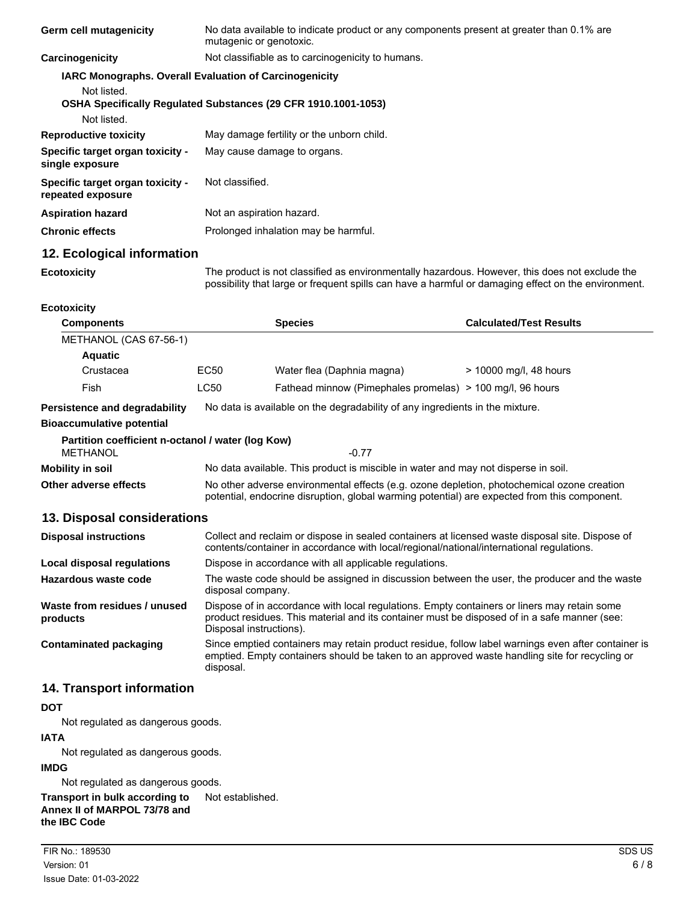| <b>Germ cell mutagenicity</b>                                                               | No data available to indicate product or any components present at greater than 0.1% are<br>mutagenic or genotoxic. |  |
|---------------------------------------------------------------------------------------------|---------------------------------------------------------------------------------------------------------------------|--|
| Carcinogenicity                                                                             | Not classifiable as to carcinogenicity to humans.                                                                   |  |
| <b>IARC Monographs. Overall Evaluation of Carcinogenicity</b><br>Not listed.<br>Not listed. | OSHA Specifically Regulated Substances (29 CFR 1910.1001-1053)                                                      |  |
| <b>Reproductive toxicity</b>                                                                | May damage fertility or the unborn child.                                                                           |  |
| Specific target organ toxicity -<br>single exposure                                         | May cause damage to organs.                                                                                         |  |
| Specific target organ toxicity -<br>repeated exposure                                       | Not classified.                                                                                                     |  |
| <b>Aspiration hazard</b>                                                                    | Not an aspiration hazard.                                                                                           |  |
| <b>Chronic effects</b>                                                                      | Prolonged inhalation may be harmful.                                                                                |  |

## **12. Ecological information**

**Ecotoxicity**

The product is not classified as environmentally hazardous. However, this does not exclude the possibility that large or frequent spills can have a harmful or damaging effect on the environment.

#### **Ecotoxicity**

| <b>Components</b>                                 |                                                                                                                                                                                            | <b>Species</b>                                            | <b>Calculated/Test Results</b> |  |
|---------------------------------------------------|--------------------------------------------------------------------------------------------------------------------------------------------------------------------------------------------|-----------------------------------------------------------|--------------------------------|--|
| METHANOL (CAS 67-56-1)                            |                                                                                                                                                                                            |                                                           |                                |  |
| <b>Aquatic</b>                                    |                                                                                                                                                                                            |                                                           |                                |  |
| Crustacea                                         | EC50                                                                                                                                                                                       | Water flea (Daphnia magna)                                | > 10000 mg/l, 48 hours         |  |
| Fish                                              | <b>LC50</b>                                                                                                                                                                                | Fathead minnow (Pimephales promelas) > 100 mg/l, 96 hours |                                |  |
| Persistence and degradability                     | No data is available on the degradability of any ingredients in the mixture.                                                                                                               |                                                           |                                |  |
| <b>Bioaccumulative potential</b>                  |                                                                                                                                                                                            |                                                           |                                |  |
| Partition coefficient n-octanol / water (log Kow) |                                                                                                                                                                                            |                                                           |                                |  |
| METHANOL                                          |                                                                                                                                                                                            | $-0.77$                                                   |                                |  |
| Mobility in soil                                  | No data available. This product is miscible in water and may not disperse in soil.                                                                                                         |                                                           |                                |  |
| Other adverse effects                             | No other adverse environmental effects (e.g. ozone depletion, photochemical ozone creation<br>potential, endocrine disruption, global warming potential) are expected from this component. |                                                           |                                |  |
| 12 Dienoegl coneideratione                        |                                                                                                                                                                                            |                                                           |                                |  |

### **13. Disposal considerations**

| <b>Disposal instructions</b>             | Collect and reclaim or dispose in sealed containers at licensed waste disposal site. Dispose of<br>contents/container in accordance with local/regional/national/international regulations.                            |  |
|------------------------------------------|------------------------------------------------------------------------------------------------------------------------------------------------------------------------------------------------------------------------|--|
| Local disposal regulations               | Dispose in accordance with all applicable regulations.                                                                                                                                                                 |  |
| Hazardous waste code                     | The waste code should be assigned in discussion between the user, the producer and the waste<br>disposal company.                                                                                                      |  |
| Waste from residues / unused<br>products | Dispose of in accordance with local regulations. Empty containers or liners may retain some<br>product residues. This material and its container must be disposed of in a safe manner (see:<br>Disposal instructions). |  |
| Contaminated packaging                   | Since emptied containers may retain product residue, follow label warnings even after container is<br>emptied. Empty containers should be taken to an approved waste handling site for recycling or<br>disposal.       |  |

#### **14. Transport information**

#### **DOT**

Not regulated as dangerous goods.

#### **IATA**

Not regulated as dangerous goods.

#### **IMDG**

Not regulated as dangerous goods.

**Transport in bulk according to** Not established. **Annex II of MARPOL 73/78 and the IBC Code**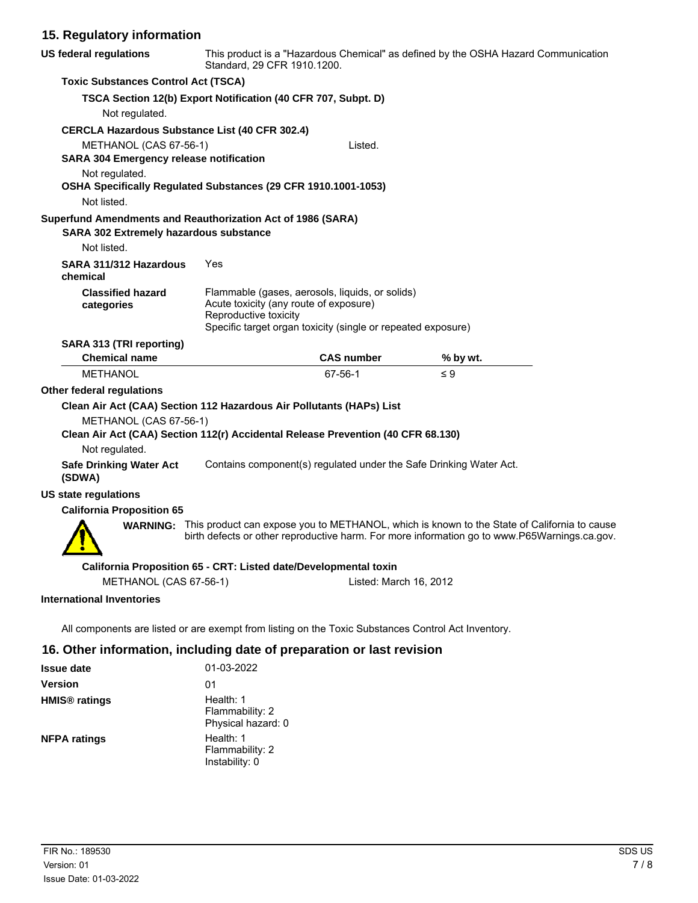# **15. Regulatory information**

| <b>US federal regulations</b>                                                                                                | This product is a "Hazardous Chemical" as defined by the OSHA Hazard Communication<br>Standard, 29 CFR 1910.1200.                                                                  |                   |                                                                                                                                                                                                             |  |
|------------------------------------------------------------------------------------------------------------------------------|------------------------------------------------------------------------------------------------------------------------------------------------------------------------------------|-------------------|-------------------------------------------------------------------------------------------------------------------------------------------------------------------------------------------------------------|--|
| <b>Toxic Substances Control Act (TSCA)</b>                                                                                   |                                                                                                                                                                                    |                   |                                                                                                                                                                                                             |  |
|                                                                                                                              | TSCA Section 12(b) Export Notification (40 CFR 707, Subpt. D)                                                                                                                      |                   |                                                                                                                                                                                                             |  |
| Not regulated.                                                                                                               |                                                                                                                                                                                    |                   |                                                                                                                                                                                                             |  |
| <b>CERCLA Hazardous Substance List (40 CFR 302.4)</b>                                                                        |                                                                                                                                                                                    |                   |                                                                                                                                                                                                             |  |
| METHANOL (CAS 67-56-1)<br><b>SARA 304 Emergency release notification</b>                                                     |                                                                                                                                                                                    | Listed.           |                                                                                                                                                                                                             |  |
| Not regulated.<br>OSHA Specifically Regulated Substances (29 CFR 1910.1001-1053)<br>Not listed.                              |                                                                                                                                                                                    |                   |                                                                                                                                                                                                             |  |
| Superfund Amendments and Reauthorization Act of 1986 (SARA)<br>SARA 302 Extremely hazardous substance                        |                                                                                                                                                                                    |                   |                                                                                                                                                                                                             |  |
| Not listed.<br>SARA 311/312 Hazardous<br>chemical                                                                            | Yes                                                                                                                                                                                |                   |                                                                                                                                                                                                             |  |
| <b>Classified hazard</b><br>categories                                                                                       | Flammable (gases, aerosols, liquids, or solids)<br>Acute toxicity (any route of exposure)<br>Reproductive toxicity<br>Specific target organ toxicity (single or repeated exposure) |                   |                                                                                                                                                                                                             |  |
| SARA 313 (TRI reporting)                                                                                                     |                                                                                                                                                                                    |                   |                                                                                                                                                                                                             |  |
| <b>Chemical name</b>                                                                                                         |                                                                                                                                                                                    | <b>CAS number</b> | % by wt.                                                                                                                                                                                                    |  |
| <b>METHANOL</b>                                                                                                              |                                                                                                                                                                                    | 67-56-1           | $\leq 9$                                                                                                                                                                                                    |  |
| Other federal regulations                                                                                                    |                                                                                                                                                                                    |                   |                                                                                                                                                                                                             |  |
| Clean Air Act (CAA) Section 112 Hazardous Air Pollutants (HAPs) List                                                         |                                                                                                                                                                                    |                   |                                                                                                                                                                                                             |  |
| METHANOL (CAS 67-56-1)<br>Clean Air Act (CAA) Section 112(r) Accidental Release Prevention (40 CFR 68.130)<br>Not regulated. |                                                                                                                                                                                    |                   |                                                                                                                                                                                                             |  |
| <b>Safe Drinking Water Act</b><br>(SDWA)                                                                                     |                                                                                                                                                                                    |                   | Contains component(s) regulated under the Safe Drinking Water Act.                                                                                                                                          |  |
| <b>US state regulations</b>                                                                                                  |                                                                                                                                                                                    |                   |                                                                                                                                                                                                             |  |
| <b>California Proposition 65</b>                                                                                             |                                                                                                                                                                                    |                   |                                                                                                                                                                                                             |  |
|                                                                                                                              |                                                                                                                                                                                    |                   | <b>WARNING:</b> This product can expose you to METHANOL, which is known to the State of California to cause<br>birth defects or other reproductive harm. For more information go to www.P65Warnings.ca.gov. |  |
|                                                                                                                              | California Proposition 65 - CRT: Listed date/Developmental toxin                                                                                                                   |                   |                                                                                                                                                                                                             |  |
| METHANOL (CAS 67-56-1)<br>Listed: March 16, 2012                                                                             |                                                                                                                                                                                    |                   |                                                                                                                                                                                                             |  |
| <b>International Inventories</b>                                                                                             |                                                                                                                                                                                    |                   |                                                                                                                                                                                                             |  |

All components are listed or are exempt from listing on the Toxic Substances Control Act Inventory.

# **16. Other information, including date of preparation or last revision**

| <b>Issue date</b>               | 01-03-2022                                         |
|---------------------------------|----------------------------------------------------|
| <b>Version</b>                  | 01                                                 |
| <b>HMIS<sup>®</sup></b> ratings | Health: 1<br>Flammability: 2<br>Physical hazard: 0 |
| <b>NFPA ratings</b>             | Health: 1<br>Flammability: 2<br>Instability: 0     |